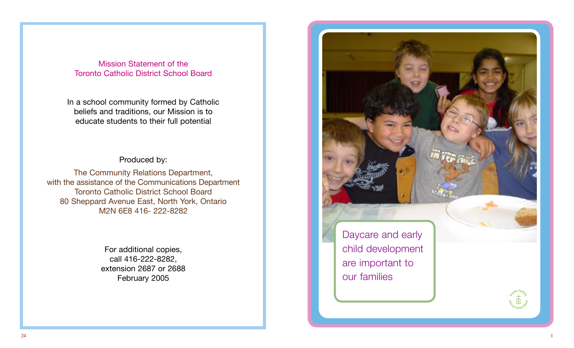Mission Statement of the Toronto Catholic District School Board

In a school community formed by Catholic beliefs and traditions, our Mission is to educate students to their full potential

# Produced by:

The Community Relations Department, with the assistance of the Communications Department Toronto Catholic District School Board 80 Sheppard Avenue East, North York, Ontario M2N 6E8 416- 222-8282

> For additional copies, call 416-222-8282, extension 2687 or 2688 February 2005

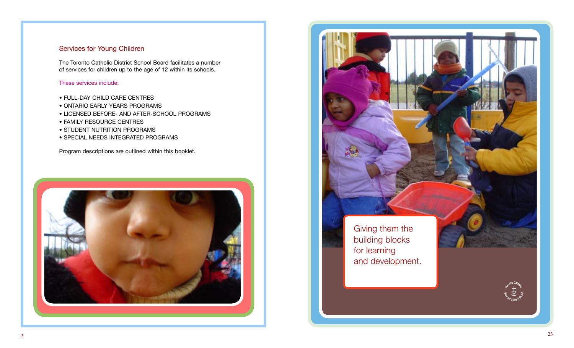### Services for Young Children

The Toronto Catholic District School Board facilitates a number of services for children up to the age of 12 within its schools.

### These services include:

- FULL-DAY CHILD CARE CENTRES
- ONTARIO EARLY YEARS PROGRAMS
- LICENSED BEFORE- AND AFTER-SCHOOL PROGRAMS
- FAMILY RESOURCE CENTRES
- STUDENT NUTRITION PROGRAMS
- SPECIAL NEEDS INTEGRATED PROGRAMS

Program descriptions are outlined within this booklet.



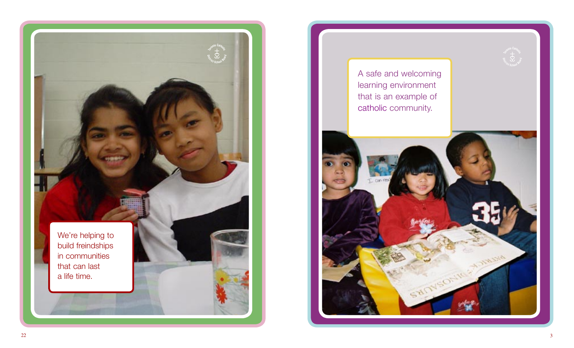

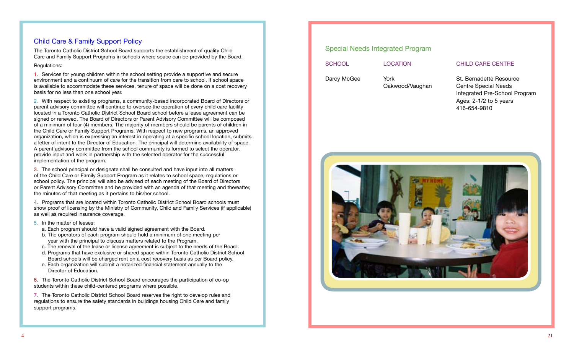# Child Care & Family Support Policy

The Toronto Catholic District School Board supports the establishment of quality Child Care and Family Support Programs in schools where space can be provided by the Board.

#### Regulations:

1. Services for young children within the school setting provide a supportive and secure environment and a continuum of care for the transition from care to school. If school space is available to accommodate these services, tenure of space will be done on a cost recovery basis for no less than one school year.

2. With respect to existing programs, a community-based incorporated Board of Directors or parent advisory committee will continue to oversee the operation of every child care facility located in a Toronto Catholic District School Board school before a lease agreement can be signed or renewed. The Board of Directors or Parent Advisory Committee will be composed of a minimum of four (4) members. The majority of members should be parents of children in the Child Care or Family Support Programs. With respect to new programs, an approved organization, which is expressing an interest in operating at a specific school location, submits a letter of intent to the Director of Education. The principal will determine availability of space. A parent advisory committee from the school community is formed to select the operator, provide input and work in partnership with the selected operator for the successful implementation of the program.

3. The school principal or designate shall be consulted and have input into all matters of the Child Care or Family Support Program as it relates to school space, regulations or school policy. The principal will also be advised of each meeting of the Board of Directors or Parent Advisory Committee and be provided with an agenda of that meeting and thereafter, the minutes of that meeting as it pertains to his/her school.

4. Programs that are located within Toronto Catholic District School Board schools must show proof of licensing by the Ministry of Community, Child and Family Services (if applicable) as well as required insurance coverage.

- 5. In the matter of leases:
	- a. Each program should have a valid signed agreement with the Board.
	- b. The operators of each program should hold a minimum of one meeting per year with the principal to discuss matters related to the Program.
	- c. The renewal of the lease or license agreement is subject to the needs of the Board.
	- d. Programs that have exclusive or shared space within Toronto Catholic District School Board schools will be charged rent on a cost recovery basis as per Board policy.
	- e. Each organization will submit a notarized financial statement annually to the Director of Education.

6. The Toronto Catholic District School Board encourages the participation of co-op students within these child-centered programs where possible.

7. The Toronto Catholic District School Board reserves the right to develop rules and regulations to ensure the safety standards in buildings housing Child Care and family support programs.

# Special Needs Integrated Program SCHOOL LOCATION CHILD CARE CENTRE Darcy McGee York St. Bernadette Resource Oakwood/Vaughan Centre Special Needs

 Integrated Pre-School Program Ages: 2-1/2 to 5 years 416-654-9810

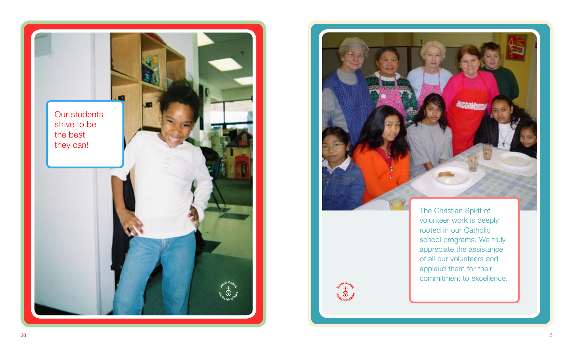



**Assanto Catholic** 

The Christian Spirit of volunteer work is deeply rooted in our Catholic school programs. We truly appreciate the assistance of all our volunteers and applaud them for their commitment to excellence.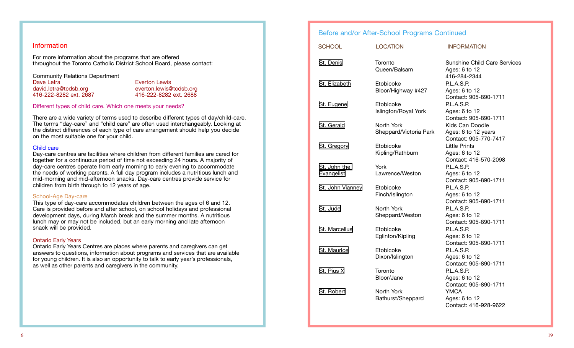#### Information

For more information about the programs that are offered throughout the Toronto Catholic District School Board, please contact:

Community Relations Department Dave Letra **Everton Lewis** david.letra@tcdsb.org everton.lewis@tcdsb.org<br>416-222-8282 ext. 2687 416-222-8282 ext. 2688 416-222-8282 ext. 2687 416-222-8282 ext. 2688

#### Different types of child care. Which one meets your needs?

There are a wide variety of terms used to describe different types of day/child-care. The terms "day-care" and "child care" are often used interchangeably. Looking at the distinct differences of each type of care arrangement should help you decide on the most suitable one for your child.

#### Child care

Day-care centres are facilities where children from different families are cared for together for a continuous period of time not exceeding 24 hours. A majority of day-care centres operate from early morning to early evening to accommodate the needs of working parents. A full day program includes a nutritious lunch and mid-morning and mid-afternoon snacks. Day-care centres provide service for children from birth through to 12 years of age.

#### School-Age Day-care

This type of day-care accommodates children between the ages of 6 and 12. Care is provided before and after school, on school holidays and professional development days, during March break and the summer months. A nutritious lunch may or may not be included, but an early morning and late afternoon snack will be provided.

#### Ontario Early Years

Ontario Early Years Centres are places where parents and caregivers can get answers to questions, information about programs and services that are available for young children. It is also an opportunity to talk to early year's professionals, as well as other parents and caregivers in the community.

# Before and/or After-School Programs Continued

| <b>SCHOOL</b>              | <b>LOCATION</b>                      | <b>INFORMATION</b>                                                             |
|----------------------------|--------------------------------------|--------------------------------------------------------------------------------|
| St. Denis                  | Toronto<br>Queen/Balsam              | <b>Sunshine Child Care Services</b><br>Ages: 6 to 12<br>416-284-2344           |
| St. Elizabeth              | Etobicoke<br>Bloor/Highway #427      | P.L.A.S.P.<br>Ages: 6 to 12<br>Contact: 905-890-1711                           |
| St. Eugene                 | Etobicoke<br>Islington/Royal York    | P.L.A.S.P.<br>Ages: 6 to 12<br>Contact: 905-890-1711                           |
| St. Gerald                 | North York<br>Sheppard/Victoria Park | Kids Can Doodle<br>Ages: 6 to 12 years<br>Contact: 905-770-7417                |
| St. Gregory                | Etobicoke<br>Kipling/Rathburn        | <b>Little Prints</b><br>Ages: 6 to 12<br>Contact: 416-570-2098                 |
| St. John the<br>Evangelist | York<br>Lawrence/Weston              | P.L.A.S.P.<br>Ages: 6 to 12<br>Contact: 905-890-1711                           |
| St. John Vianney           | Etobicoke<br>Finch/Islington         | P.L.A.S.P.<br>Ages: 6 to 12<br>Contact: 905-890-1711                           |
| St. Jude                   | North York<br>Sheppard/Weston        | P.L.A.S.P.<br>Ages: 6 to 12                                                    |
| St. Marcellus              | Etobicoke<br>Eglinton/Kipling        | Contact: 905-890-1711<br>P.L.A.S.P.<br>Ages: 6 to 12                           |
| St. Maurice                | Etobicoke<br>Dixon/Islington         | Contact: 905-890-1711<br>P.L.A.S.P.<br>Ages: 6 to 12                           |
| St. Pius X                 | Toronto<br>Bloor/Jane                | Contact: 905-890-1711<br>P.L.A.S.P.<br>Ages: 6 to 12                           |
| St. Robert                 | North York<br>Bathurst/Sheppard      | Contact: 905-890-1711<br><b>YMCA</b><br>Ages: 6 to 12<br>Contact: 416-928-9622 |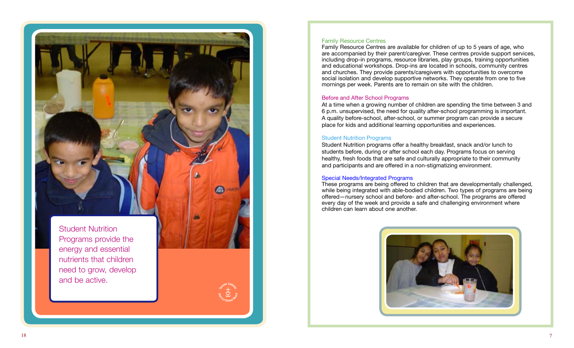Student Nutrition Programs provide the energy and essential nutrients that children need to grow, develop and be active.

O

#### Family Resource Centres

Family Resource Centres are available for children of up to 5 years of age, who are accompanied by their parent/caregiver. These centres provide support services, including drop-in programs, resource libraries, play groups, training opportunities and educational workshops. Drop-ins are located in schools, community centres and churches. They provide parents/caregivers with opportunities to overcome social isolation and develop supportive networks. They operate from one to five mornings per week. Parents are to remain on site with the children.

#### Before and After School Programs

At a time when a growing number of children are spending the time between 3 and 6 p.m. unsupervised, the need for quality after-school programming is important. A quality before-school, after-school, or summer program can provide a secure place for kids and additional learning opportunities and experiences.

#### Student Nutrition Programs

Student Nutrition programs offer a healthy breakfast, snack and/or lunch to students before, during or after school each day. Programs focus on serving healthy, fresh foods that are safe and culturally appropriate to their community and participants and are offered in a non-stigmatizing environment.

#### Special Needs/Integrated Programs

These programs are being offered to children that are developmentally challenged, while being integrated with able-bodied children. Two types of programs are being offered—nursery school and before- and after-school. The programs are offered every day of the week and provide a safe and challenging environment where children can learn about one another.

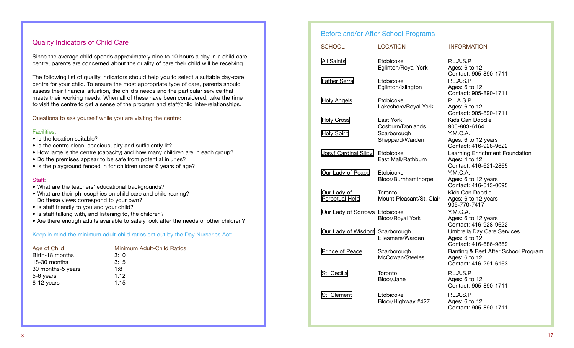# Quality Indicators of Child Care

Since the average child spends approximately nine to 10 hours a day in a child care centre, parents are concerned about the quality of care their child will be receiving.

The following list of quality indicators should help you to select a suitable day-care centre for your child. To ensure the most appropriate type of care, parents should assess their financial situation, the child's needs and the particular service that meets their working needs. When all of these have been considered, take the time to visit the centre to get a sense of the program and staff/child inter-relationships.

Questions to ask yourself while you are visiting the centre:

#### Facilities:

- Is the location suitable?
- Is the centre clean, spacious, airy and sufficiently lit?
- How large is the centre (capacity) and how many children are in each group?
- Do the premises appear to be safe from potential injuries?
- Is the playground fenced in for children under 6 years of age?

#### **Staff**

- What are the teachers' educational backgrounds?
- What are their philosophies on child care and child rearing? Do these views correspond to your own?
- Is staff friendly to you and your child?
- Is staff talking with, and listening to, the children?
- Are there enough adults available to safely look after the needs of other children?

#### Keep in mind the minimum adult-child ratios set out by the Day Nurseries Act:

| Age of Child      | Minimum Adult-Child Ratios |
|-------------------|----------------------------|
| Birth-18 months   | 3:10                       |
| 18-30 months      | 3:15                       |
| 30 months-5 years | 1:8                        |
| 5-6 years         | 1:12                       |
| 6-12 years        | 1:15                       |

# Before and/or After-School Programs

| <b>SCHOOL</b>                   | <b>LOCATION</b>                     | <b>INFORMATION</b>                                                            |
|---------------------------------|-------------------------------------|-------------------------------------------------------------------------------|
| All Saints                      | Etobicoke<br>Eglinton/Royal York    | P.L.A.S.P.<br>Ages: 6 to 12<br>Contact: 905-890-1711                          |
| <b>Father Serra</b>             | Etobicoke<br>Eglinton/Islington     | P.L.A.S.P.<br>Ages: 6 to 12<br>Contact: 905-890-1711                          |
| <b>Holy Angels</b>              | Etobicoke<br>Lakeshore/Royal York   | P.L.A.S.P.<br>Ages: 6 to 12<br>Contact: 905-890-1711                          |
| <b>Holy Cross</b>               | East York<br>Cosburn/Donlands       | Kids Can Doodle<br>905-883-6164                                               |
| <b>Holy Spirit</b>              | Scarborough<br>Sheppard/Warden      | Y.M.C.A.<br>Ages: 6 to 12 years<br>Contact: 416-928-9622                      |
| Josyf Cardinal Slipyj Etobicoke | East Mall/Rathburn                  | Learning Enrichment Foundation<br>Ages: 4 to 12<br>Contact: 416-621-2865      |
| Our Lady of Peace               | Etobicoke<br>Bloor/Burnhamthorpe    | Y.M.C.A.<br>Ages: 6 to 12 years<br>Contact: 416-513-0095                      |
| Our Lady of<br>Perpetual Help   | Toronto<br>Mount Pleasant/St. Clair | Kids Can Doodle<br>Ages: 6 to 12 years<br>905-770-7417                        |
| Our Lady of Sorrows Etobicoke   | Bloor/Royal York                    | Y.M.C.A.<br>Ages: 6 to 12 years<br>Contact: 416-928-9622                      |
| Our Lady of Wisdom Scarborough  | Ellesmere/Warden                    | Umbrella Day Care Services<br>Ages: 6 to 12<br>Contact: 416-686-9869          |
| Prince of Peace                 | Scarborough<br>McCowan/Steeles      | Banting & Best After School Program<br>Ages: 6 to 12<br>Contact: 416-291-6163 |
| St. Cecilia                     | Toronto<br>Bloor/Jane               | P.L.A.S.P.<br>Ages: 6 to 12<br>Contact: 905-890-1711                          |
| St. Clement                     | Etobicoke<br>Bloor/Highway #427     | P.L.A.S.P.<br>Ages: 6 to 12<br>Contact: 905-890-1711                          |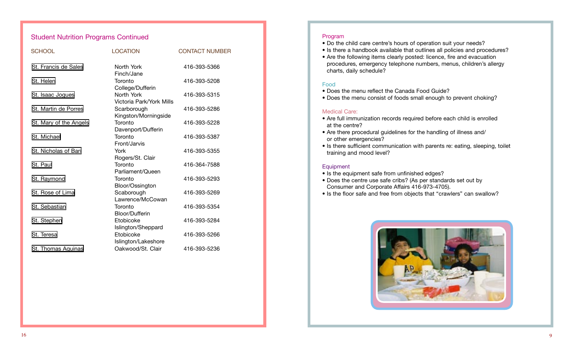| <b>Student Nutrition Programs Continued</b> |                                        |                       |  |
|---------------------------------------------|----------------------------------------|-----------------------|--|
| <b>SCHOOL</b>                               | <b>LOCATION</b>                        | <b>CONTACT NUMBER</b> |  |
| St. Francis de Sales                        | North York<br>Finch/Jane               | 416-393-5366          |  |
| St. Helen                                   | Toronto<br>College/Dufferin            | 416-393-5208          |  |
| St. Isaac Jogues                            | North York<br>Victoria Park/York Mills | 416-393-5315          |  |
| St. Martin de Porres                        | Scarborough<br>Kingston/Morningside    | 416-393-5286          |  |
| St. Mary of the Angels                      | Toronto<br>Davenport/Dufferin          | 416-393-5228          |  |
| St. Michael                                 | Toronto<br>Front/Jarvis                | 416-393-5387          |  |
| St. Nicholas of Bari                        | York<br>Rogers/St. Clair               | 416-393-5355          |  |
| St. Paul                                    | Toronto<br>Parliament/Queen            | 416-364-7588          |  |
| St. Raymond                                 | Toronto<br>Bloor/Ossington             | 416-393-5293          |  |
| St. Rose of Lima                            | Scaborough<br>Lawrence/McCowan         | 416-393-5269          |  |
| St. Sebastian                               | Toronto<br>Bloor/Dufferin              | 416-393-5354          |  |
| St. Stephen                                 | Etobicoke<br>Islington/Sheppard        | 416-393-5284          |  |
| St. Teresa                                  | Etobicoke<br>Islington/Lakeshore       | 416-393-5266          |  |
| St. Thomas Aquinas                          | Oakwood/St. Clair                      | 416-393-5236          |  |

#### Program

- Do the child care centre's hours of operation suit your needs?
- Is there a handbook available that outlines all policies and procedures?
- Are the following items clearly posted: licence, fire and evacuation procedures, emergency telephone numbers, menus, children's allergy charts, daily schedule?

#### Food

- Does the menu reflect the Canada Food Guide?
- Does the menu consist of foods small enough to prevent choking?

#### Medical Care:

- Are full immunization records required before each child is enrolled at the centre?
- Are there procedural guidelines for the handling of illness and/ or other emergencies?
- Is there sufficient communication with parents re: eating, sleeping, toilet training and mood level?

#### **Equipment**

- Is the equipment safe from unfinished edges?
- Does the centre use safe cribs? (As per standards set out by Consumer and Corporate Affairs 416-973-4705).
- Is the floor safe and free from objects that "crawlers" can swallow?

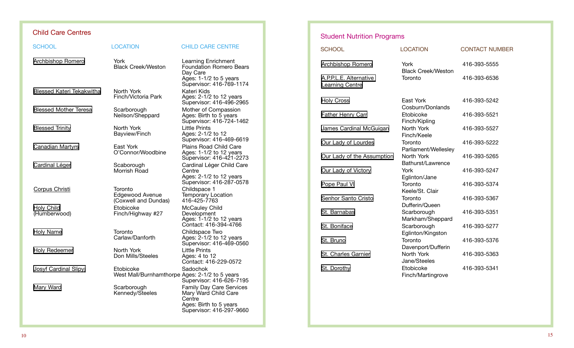# Child Care Centres

| <b>SCHOOL</b>                     | <b>LOCATION</b>                                             | <b>CHILD CARE CENTRE</b>                                                                                                |
|-----------------------------------|-------------------------------------------------------------|-------------------------------------------------------------------------------------------------------------------------|
| <b>Archbishop Romero</b>          | York<br><b>Black Creek/Weston</b>                           | Learning Enrichment<br><b>Foundation Romero Bears</b><br>Day Care<br>Ages: 1-1/2 to 5 years<br>Supervisor: 416-769-1174 |
| <b>Blessed Kateri Tekakwitha</b>  | North York<br>Finch/Victoria Park                           | Kateri Kids<br>Ages: 2-1/2 to 12 years<br>Supervisor: 416-496-2965                                                      |
| <b>Blessed Mother Teresa</b>      | Scarborough<br>Neilson/Sheppard                             | Mother of Compassion<br>Ages: Birth to 5 years<br>Supervisor: 416-724-1462                                              |
| <b>Blessed Trinity</b>            | North York<br>Bayview/Finch                                 | <b>Little Prints</b><br>Ages: 2-1/2 to 12<br>Supervisor: 416-469-6619                                                   |
| <b>Canadian Martyrs</b>           | East York<br>O'Connor/Woodbine                              | Plains Road Child Care<br>Ages: 1-1/2 to 12 years<br>Supervisor: 416-421-2273                                           |
| <b>Cardinal Léger</b>             | Scaborough<br>Morrish Road                                  | Cardinal Léger Child Care<br>Centre<br>Ages: 2-1/2 to 12 years<br>Supervisor: 416-287-0578                              |
| Corpus Christi                    | Toronto<br>Edgewood Avenue<br>(Coxwell and Dundas)          | Childspace 1<br><b>Temporary Location</b><br>416-425-7763                                                               |
| <b>Holy Child</b><br>(Humberwood) | Etobicoke<br>Finch/Highway #27                              | McCauley Child<br>Development<br>Ages: 1-1/2 to 12 years<br>Contact: 416-394-4766                                       |
| <b>Holy Name</b>                  | Toronto<br>Carlaw/Danforth                                  | Childspace Two<br>Ages: 2-1/2 to 12 years<br>Supervisor: 416-469-0560                                                   |
| <b>Holy Redeemer</b>              | North York<br>Don Mills/Steeles                             | <b>Little Prints</b><br>Ages: 4 to 12<br>Contact: 416-229-0572                                                          |
| Josyf Cardinal Slipyj             | Etobicoke<br>West Mall/Burnhamthorpe Ages: 2-1/2 to 5 years | Sadochok<br>Supervisor: 416-626-7195                                                                                    |
| Mary Ward                         | Scarborough<br>Kennedy/Steeles                              | Family Day Care Services<br>Mary Ward Child Care<br>Centre<br>Ages: Birth to 5 years<br>Supervisor: 416-297-9660        |

# Student Nutrition Programs

| <b>SCHOOL</b>                                    | <b>LOCATION</b>                   | <b>CONTACT NUMBER</b> |
|--------------------------------------------------|-----------------------------------|-----------------------|
| <b>Archbishop Romero</b>                         | York<br><b>Black Creek/Weston</b> | 416-393-5555          |
| A.P.P.L.E. Alternative<br><b>Learning Centre</b> | Toronto                           | 416-393-6536          |
| <b>Holy Cross</b>                                | East York<br>Cosburn/Donlands     | 416-393-5242          |
| <b>Father Henry Carr</b>                         | Etobicoke<br>Finch/Kipling        | 416-393-5521          |
| James Cardinal McGuigan                          | North York<br>Finch/Keele         | 416-393-5527          |
| Our Lady of Lourdes                              | Toronto<br>Parliament/Wellesley   | 416-393-5222          |
| Our Lady of the Assumption                       | North York<br>Bathurst/Lawrence   | 416-393-5265          |
| Our Lady of Victory                              | York<br>Eglinton/Jane             | 416-393-5247          |
| Pope Paul VI                                     | Toronto<br>Keele/St. Clair        | 416-393-5374          |
| Senhor Santo Cristo                              | Toronto<br>Dufferin/Queen         | 416-393-5367          |
| St. Barnabas                                     | Scarborough<br>Markham/Sheppard   | 416-393-5351          |
| St. Boniface                                     | Scarborough<br>Eglinton/Kingston  | 416-393-5277          |
| St. Bruno                                        | Toronto<br>Davenport/Dufferin     | 416-393-5376          |
| St. Charles Garnier                              | North York<br>Jane/Steeles        | 416-393-5363          |
| St. Dorothy                                      | Etobicoke<br>Finch/Martingrove    | 416-393-5341          |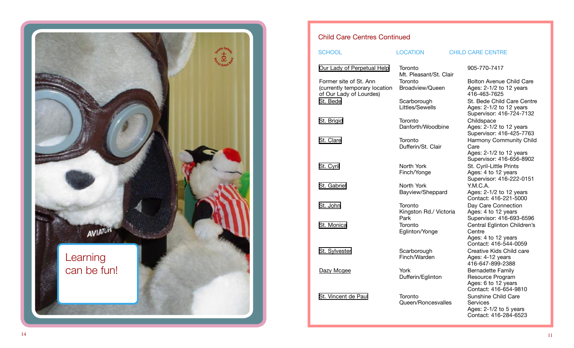

# Child Care Centres Continued

### SCHOOL LOCATION CHILD CARE CENTRE

| Our Lady of Perpetual Help                                                         | Toronto<br>Mt. Pleasant/St. Clair         | 905-770-7417                                                                |
|------------------------------------------------------------------------------------|-------------------------------------------|-----------------------------------------------------------------------------|
| Former site of St. Ann<br>(currently temporary location<br>of Our Lady of Lourdes) | Toronto<br>Broadview/Queen                | <b>Bolton Avenue</b><br>Ages: 2-1/2 to<br>416-463-7625                      |
| St. Bede                                                                           | Scarborough<br>Littles/Sewells            | St. Bede Child<br>Ages: 2-1/2 to<br>Supervisor: 41                          |
| St. Brigid                                                                         | Toronto<br>Danforth/Woodbine              | Childspace<br>Ages: 2-1/2 to<br>Supervisor: 41                              |
| St. Clare                                                                          | Toronto<br>Dufferin/St. Clair             | Harmony Com<br>Care<br>Ages: 2-1/2 to<br>Supervisor: 41                     |
| St. Cyril                                                                          | North York<br>Finch/Yonge                 | St. Cyril-Little I<br>Ages: 4 to 12 y<br>Supervisor: 41                     |
| St. Gabriel                                                                        | North York<br>Bayview/Sheppard            | Y.M.C.A.<br>Ages: 2-1/2 to<br>Contact: 416-2                                |
| St. John                                                                           | Toronto<br>Kingston Rd./ Victoria<br>Park | Day Care Conr<br>Ages: 4 to 12 y<br>Supervisor: 41                          |
| St. Monica                                                                         | Toronto<br>Eglinton/Yonge                 | <b>Central Eglinto</b><br>Centre<br>Ages: 4 to 12 y<br>Contact: 416-5       |
| St. Sylvester                                                                      | Scarborough<br>Finch/Warden               | Creative Kids (<br>Ages: 4-12 yea<br>416-647-899-2                          |
| Dazy Mcgee                                                                         | York<br>Dufferin/Eglinton                 | <b>Bernadette Far</b><br>Resource Prog<br>Ages: 6 to 12 y<br>Contact: 416-6 |
| St. Vincent de Paul                                                                | Toronto<br>Queen/Roncesvalles             | Sunshine Chilc<br><b>Services</b><br>Ages: 2-1/2 to<br>Contact: $416-2$     |

Bolton Avenue Child Care Ages: 2-1/2 to 12 years 416-463-7625 St. Bede Child Care Centre Ages: 2-1/2 to 12 years Supervisor: 416-724-7132 Childspace Ages: 2-1/2 to 12 years Supervisor: 416-425-7763 Harmony Community Child Dare Ages: 2-1/2 to 12 years Supervisor: 416-656-8902 St. Cyril-Little Prints Ages: 4 to 12 years Supervisor: 416-222-0151 Y.M.C.A. Ages: 2-1/2 to 12 years Contact: 416-221-5000 Day Care Connection Ages: 4 to 12 years Supervisor: 416-693-6596 Central Eglinton Children's Centre Ages: 4 to 12 years Contact: 416-544-0059 Creative Kids Child care Ages: 4-12 years 416-647-899-2388 Bernadette Family Resource Program Ages: 6 to 12 years Contact: 416-654-9810 Sunshine Child Care Services Ages: 2-1/2 to 5 years Contact: 416-284-6523